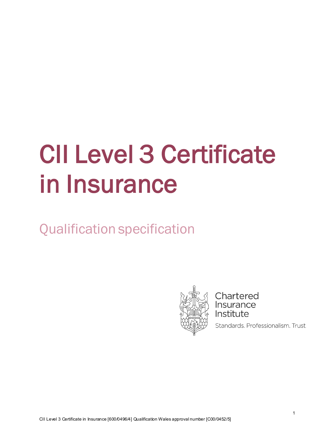# CII Level 3 Certificate in Insurance

Qualification specification



Chartered **Insurance** Institute

Standards. Professionalism. Trust.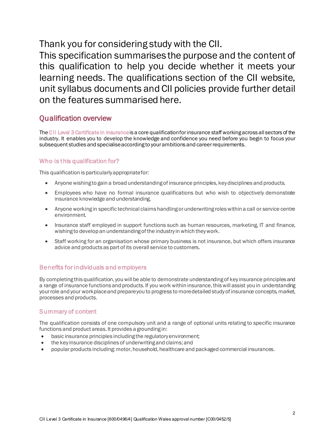Thank you for considering study with the CII.

This specification summarises the purpose and the content of this qualification to help you decide whether it meets your learning needs. The qualifications section of the CII website, unit syllabus documents and CII policies provide further detail on the features summarised here.

# Qualification overview

The CII Level 3 Certificate in Insuranceis a core qualification for insurance staff working across all sectors of the industry. It enables you to develop the knowledge and confidence you need before you begin to focus your subsequent studies and specialise according to your ambitions and career requirements.

## Who is this qualification for?

This qualification is particularly appropriate for:

- Anyone wishing to gain a broad understanding of insurance principles, key disciplines and products.
- Employees who have no formal insurance qualifications but who wish to objectively demonstrate insurance knowledge and understanding.
- Anyone working in specific technical claims handling or underwriting roles within a call or service centre environment.
- Insurance staff employed in support functions such as human resources, marketing, IT and finance, wishing to develop an understanding of the industry in which they work.
- Staff working for an organisation whose primary business is not insurance, but which offers insurance advice and products as part of its overall service to customers.

#### Benefits for individuals and employers

By completing this qualification, you will be able to demonstrate understanding of key insurance principles and a range of insurance functions and products. If you work within insurance, this will assist you in understanding your role and your workplace and prepare you to progress to more detailed study of insurance concepts, market, processes and products.

#### Summary of content

The qualification consists of one compulsory unit and a range of optional units relating to specific insurance functions and product areas. It provides a grounding in:

- basic insurance principles including the regulatory environment;
- the key insurance disciplines of underwriting and claims; and
- popular products including: motor, household, healthcare and packaged commercial insurances.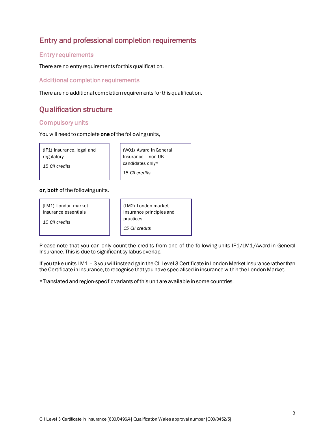# Entry and professional completion requirements

#### Entry requirements

There are no entry requirements for this qualification.

Additional completion requirements

There are no additional completion requirements for this qualification.

# Qualification structure

#### Compulsory units

You will need to complete one of the following units,

(IF1) Insurance, legal and regulatory

 (W01) Award in General Insurance – non-UK candidates only\* *15 CII credits*

#### or, both of the following units.

(LM1) London market insurance essentials

*10 CII credits*

*15 CII credits*

| (LM2) London market      |
|--------------------------|
| insurance principles and |
| practices                |
| 15 CII credits           |

Please note that you can only count the credits from one of the following units IF1/LM1/Award in General Insurance. This is due to significant syllabus overlap.

If you take units LM1 – 3 you will instead gain the CII Level 3 Certificate in London Market Insurance rather than the Certificate in Insurance, to recognise that you have specialised in insurance within the London Market.

\*Translated and region-specific variants of this unit are available in some countries.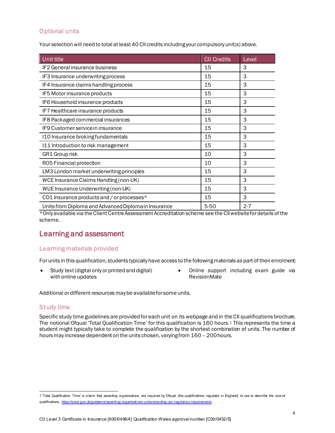### Optional units

Your selection will need to total at least 40 CII credits including your compulsory unit(s) above.

| Unit title                                           | <b>CII Credits</b> | Level   |
|------------------------------------------------------|--------------------|---------|
| IF2 General insurance business                       | 15                 | 3       |
| IF3 Insurance underwriting process                   | 15                 | 3       |
| IF4 Insurance claims handling process                | 15                 | 3       |
| IF5 Motor insurance products                         | 15                 | 3       |
| IF6 Household insurance products                     | 15                 | 3       |
| IF7 Healthcare insurance products                    | 15                 | 3       |
| IF8 Packaged commercial insurances                   | 15                 | 3       |
| IF9 Customer service in insurance                    | 15                 | 3       |
| I10 Insurance broking fundamentals                   | 15                 | 3       |
| 111 Introduction to risk management                  | 15                 | 3       |
| GR1 Group risk                                       | 10                 | 3       |
| R05 Financial protection                             | 10                 | 3       |
| LM3 London market underwriting principles            | 15                 | 3       |
| WCE Insurance Claims Handling (non-UK)               | 15                 | 3       |
| WUE Insurance Underwriting (non-UK)                  | 15                 | 3       |
| CD1 Insurance products and / or processes*           | 15                 | 3       |
| Units from Diploma and Advanced Diploma in Insurance | 5-50               | $2 - 7$ |

\*Only available via the Client Centre Assessment Accreditation scheme see the CII website for details of the scheme.

# Learning and assessment

#### Learning materials provided

For units in this qualification, students typically have access to the following materials as part of their enrolment:

- Study text (digital only or printed and digital) with online updates
- Online support including exam guide via RevisionMate

Additional or different resources may be available for some units.

#### Study time

Specific study time guidelines are provided for each unit on its webpage and in the CII qualifications brochure. The notional Ofqual 'Total Qualification Time' for this qualification is [1](#page-3-0)60 hours.<sup>1</sup> This represents the time a student might typically take to complete the qualification by the shortest combination of units. The number of hours may increase dependent on the units chosen, varying from 160 – 200 hours.

<span id="page-3-0"></span><sup>1</sup> 'Total Qualification Time' is a term that awarding organisations are required by Ofqual (the qualifications regulator in England) to use to describe the size of qualifications. [https://www.gov.uk/guidance/awardi ng-organisati ons-understanding-our-regulatory-requirements](https://www.gov.uk/guidance/awarding-organisations-understanding-our-regulatory-requirements)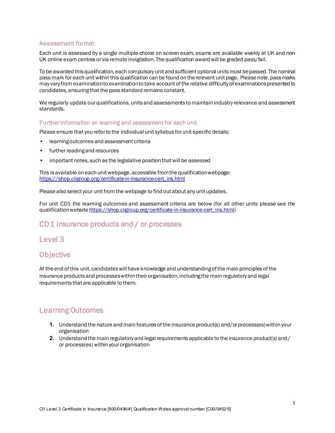#### Assessment format

Each unit is assessed by a single multiple-choice on screen exam, exams are available weekly at UK and non-UK online exam centres or via remote invigilation. The qualification award will be graded pass/fail.

To be awarded this qualification, each compulsory unit and sufficient optional units must be passed. The nominal pass mark for each unit within this qualification can be found on the relevant unit page. Please note, pass marks may vary from examination to examination to take account of the relative difficulty of examinations presented to candidates, ensuring that the pass standard remains constant.

We regularly update our qualifications, units and assessments to maintain industry relevance and assessment standards.

#### Further information on learning and assessment for each unit

Please ensure that you refer to the individual unit syllabus for unit-specific details:

- learning outcomes and assessment criteria
- further reading and resources
- important notes, such as the legislative position that will be assessed

This is available on each unit webpage, accessible from the qualification webpage: [https://shop.ciigroup.org/certificate-in-insurance-cert\\_ins.html](https://shop.ciigroup.org/certificate-in-insurance-cert_ins.html)

Please also select your unit from the webpage to find out about any unit updates.

For unit CD1 the learning outcomes and assessment criteria are below (for all other units please see the qualification website [https://shop.ciigroup.org/certificate-in-insurance-cert\\_ins.html](https://shop.ciigroup.org/certificate-in-insurance-cert_ins.html))

# CD1 Insurance products and / or processes

### Level 3

# **Objective**

At the end of this unit, candidates will have knowledge and understanding of the main principles of the insurance products and processes within their organisation, including the main regulatory and legal requirements that are applicable to them.

### Learning Outcomes

- **1.** Understand the nature and main features of the insurance product(s) and/or process(es) within your organisation
- **2.** Understand the main regulatory and legal requirements applicable to the insurance product(s) and / or process(es) within your organisation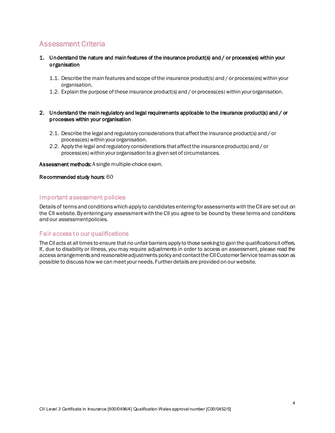# Assessment Criteria

- 1. Understand the nature and main features of the insurance product(s) and / or process(es) within your organisation
	- 1.1. Describe the main features and scope of the insurance product(s) and / or process(es) within your organisation.
	- 1.2. Explain the purpose of these insurance product(s) and / or process(es) within your organisation.

#### 2. Understand the main regulatory and legal requirements applicable to the insurance product(s) and / or processes within your organisation

- 2.1. Describe the legal and regulatory considerations that affect the insurance product(s) and / or process(es) within your organisation.
- 2.2. Apply the legal and regulatory considerations that affect the insurance product(s) and / or process(es) within your organisation to a given set of circumstances.

Assessment methods: A single multiple-choice exam.

#### Recommended study hours: 60

#### Important assessment policies

Details of terms and conditions which apply to candidates entering for assessmentswith the CII are set out on the CII website. By entering any assessment with the CII you agree to be bound by these terms and conditions and our assessment policies.

#### Fair access to our qualifications

The CII acts at all times to ensure that no unfair barriers apply to those seeking to gain the qualifications it offers. If, due to disability or illness, you may require adjustments in order to access an assessment, please read the access arrangements and reasonable adjustments policy and contact the CIICustomer Service team as soon as possible to discuss how we can meet your needs. Further details are provided on our website.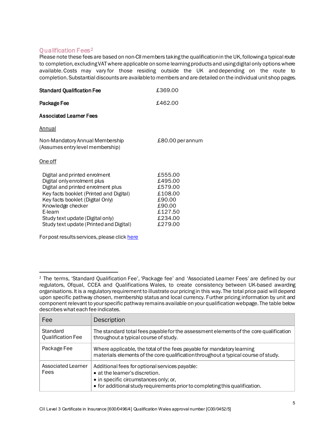Qualification Fees<sup>[2](#page-6-0)</sup><br>Please note these fees are based on non-CII members taking the qualification in the UK, following a typical route to completion, excluding VAT where applicable on some learning products and using digital only options where available.Costs may vary for those residing outside the UK and depending on the route to completion.Substantial discounts are available to members and are detailed on the individual unit shop pages.

| <b>Standard Qualification Fee</b>                                                                                                                                                                                                                                                                | £369.00                                                                                       |
|--------------------------------------------------------------------------------------------------------------------------------------------------------------------------------------------------------------------------------------------------------------------------------------------------|-----------------------------------------------------------------------------------------------|
| Package Fee                                                                                                                                                                                                                                                                                      | £462.00                                                                                       |
| <b>Associated Learner Fees</b>                                                                                                                                                                                                                                                                   |                                                                                               |
| <u>Annual</u>                                                                                                                                                                                                                                                                                    |                                                                                               |
| Non-Mandatory Annual Membership<br>(Assumes entry level membership)                                                                                                                                                                                                                              | £80.00 per annum                                                                              |
| <u>One off</u>                                                                                                                                                                                                                                                                                   |                                                                                               |
| Digital and printed enrolment<br>Digital only enrolment plus<br>Digital and printed enrolment plus<br>Key facts booklet (Printed and Digital)<br>Key facts booklet (Digital Only)<br>Knowledge checker<br>E-learn<br>Study text update (Digital only)<br>Study text update (Printed and Digital) | £555.00<br>£495.00<br>£579.00<br>£108.00<br>£90.00<br>£90.00<br>£127.50<br>£234.00<br>£279.00 |
| For post results services, please click here                                                                                                                                                                                                                                                     |                                                                                               |

<span id="page-6-0"></span><sup>2</sup> The terms, 'Standard Qualification Fee', 'Package fee' and 'Associated Learner Fees' are defined by our regulators, Ofqual, CCEA and Qualifications Wales, to create consistency between UK-based awarding organisations. It is a regulatory requirement to illustrate our pricing in this way. The total price paid will depend upon specific pathway chosen, membership status and local currency. Further pricing information by unit and component relevant to your specific pathway remains available on your qualification webpage. The table below describes what each fee indicates.

| Fee                                  | Description                                                                                                                                                                                              |
|--------------------------------------|----------------------------------------------------------------------------------------------------------------------------------------------------------------------------------------------------------|
| Standard<br><b>Qualification Fee</b> | The standard total fees payable for the assessment elements of the core qualification<br>throughout a typical course of study.                                                                           |
| Package Fee                          | Where applicable, the total of the fees payable for mandatory learning<br>materials elements of the core qualification throughout a typical course of study.                                             |
| Associated Learner<br>Fees           | Additional fees for optional services payable:<br>• at the learner's discretion.<br>• in specific circumstances only; or,<br>• for additional study requirements prior to completing this qualification. |